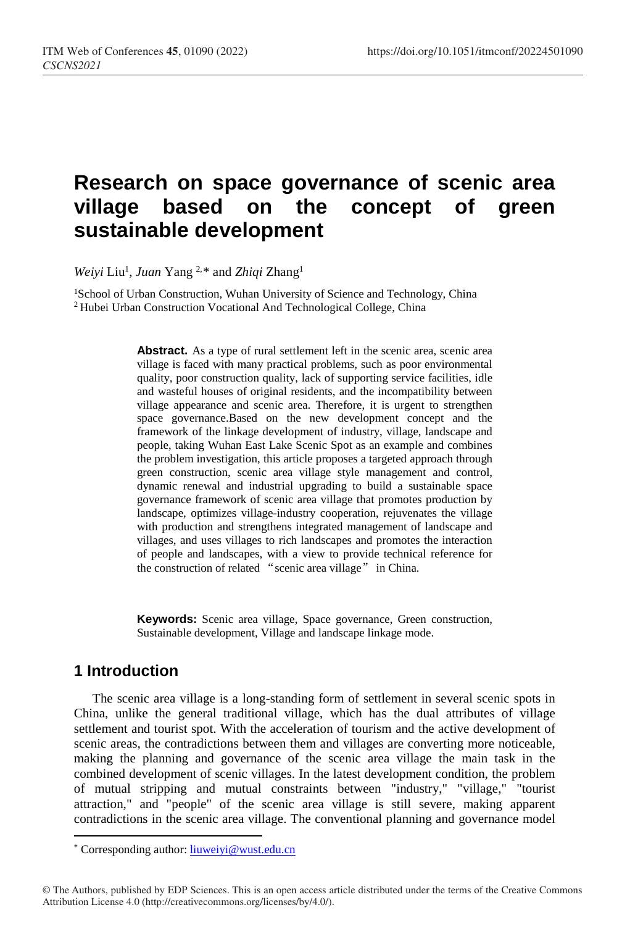# **Research on space governance of scenic area village based on the concept of green sustainable development**

*Weiyi* Liu1 , *Juan* Yang 2,[\\*](#page-0-0) and *Zhiqi* Zhang1

<sup>1</sup>School of Urban Construction, Wuhan University of Science and Technology, China 2 Hubei Urban Construction Vocational And Technological College, China

> Abstract. As a type of rural settlement left in the scenic area, scenic area village is faced with many practical problems, such as poor environmental quality, poor construction quality, lack of supporting service facilities, idle and wasteful houses of original residents, and the incompatibility between village appearance and scenic area. Therefore, it is urgent to strengthen space governance.Based on the new development concept and the framework of the linkage development of industry, village, landscape and people, taking Wuhan East Lake Scenic Spot as an example and combines the problem investigation, this article proposes a targeted approach through green construction, scenic area village style management and control, dynamic renewal and industrial upgrading to build a sustainable space governance framework of scenic area village that promotes production by landscape, optimizes village-industry cooperation, rejuvenates the village with production and strengthens integrated management of landscape and villages, and uses villages to rich landscapes and promotes the interaction of people and landscapes, with a view to provide technical reference for the construction of related "scenic area village" in China.

> **Keywords:** Scenic area village, Space governance, Green construction, Sustainable development, Village and landscape linkage mode.

### **1 Introduction**

The scenic area village is a long-standing form of settlement in several scenic spots in China, unlike the general traditional village, which has the dual attributes of village settlement and tourist spot. With the acceleration of tourism and the active development of scenic areas, the contradictions between them and villages are converting more noticeable, making the planning and governance of the scenic area village the main task in the combined development of scenic villages. In the latest development condition, the problem of mutual stripping and mutual constraints between "industry," "village," "tourist attraction," and "people" of the scenic area village is still severe, making apparent contradictions in the scenic area village. The conventional planning and governance model

<span id="page-0-0"></span><sup>\*</sup> Corresponding author: liuweiyi@wust.edu.cn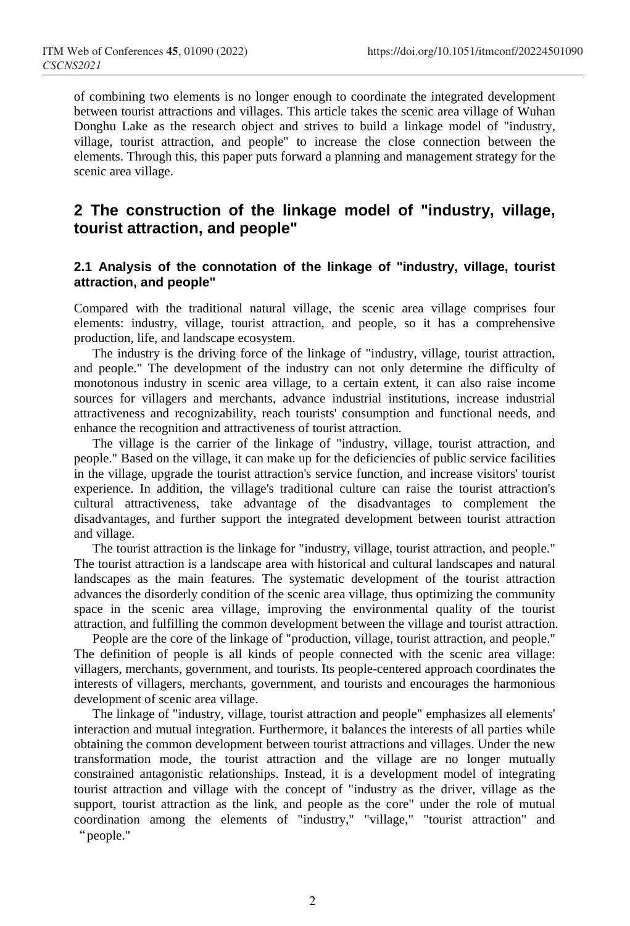of combining two elements is no longer enough to coordinate the integrated development between tourist attractions and villages. This article takes the scenic area village of Wuhan Donghu Lake as the research object and strives to build a linkage model of "industry, village, tourist attraction, and people" to increase the close connection between the elements. Through this, this paper puts forward a planning and management strategy for the scenic area village.

### **2 The construction of the linkage model of "industry, village, tourist attraction, and people"**

#### **2.1 Analysis of the connotation of the linkage of "industry, village, tourist attraction, and people"**

Compared with the traditional natural village, the scenic area village comprises four elements: industry, village, tourist attraction, and people, so it has a comprehensive production, life, and landscape ecosystem.

The industry is the driving force of the linkage of "industry, village, tourist attraction, and people." The development of the industry can not only determine the difficulty of monotonous industry in scenic area village, to a certain extent, it can also raise income sources for villagers and merchants, advance industrial institutions, increase industrial attractiveness and recognizability, reach tourists' consumption and functional needs, and enhance the recognition and attractiveness of tourist attraction.

The village is the carrier of the linkage of "industry, village, tourist attraction, and people." Based on the village, it can make up for the deficiencies of public service facilities in the village, upgrade the tourist attraction's service function, and increase visitors' tourist experience. In addition, the village's traditional culture can raise the tourist attraction's cultural attractiveness, take advantage of the disadvantages to complement the disadvantages, and further support the integrated development between tourist attraction and village.

The tourist attraction is the linkage for "industry, village, tourist attraction, and people." The tourist attraction is a landscape area with historical and cultural landscapes and natural landscapes as the main features. The systematic development of the tourist attraction advances the disorderly condition of the scenic area village, thus optimizing the community space in the scenic area village, improving the environmental quality of the tourist attraction, and fulfilling the common development between the village and tourist attraction.

People are the core of the linkage of "production, village, tourist attraction, and people." The definition of people is all kinds of people connected with the scenic area village: villagers, merchants, government, and tourists. Its people-centered approach coordinates the interests of villagers, merchants, government, and tourists and encourages the harmonious development of scenic area village.

The linkage of "industry, village, tourist attraction and people" emphasizes all elements' interaction and mutual integration. Furthermore, it balances the interests of all parties while obtaining the common development between tourist attractions and villages. Under the new transformation mode, the tourist attraction and the village are no longer mutually constrained antagonistic relationships. Instead, it is a development model of integrating tourist attraction and village with the concept of "industry as the driver, village as the support, tourist attraction as the link, and people as the core" under the role of mutual coordination among the elements of "industry," "village," "tourist attraction" and "people."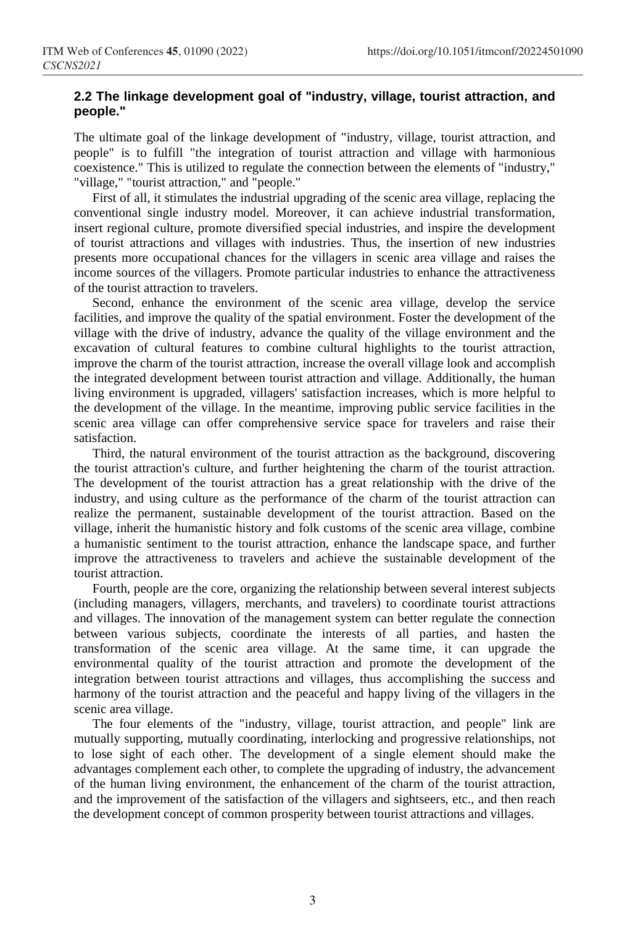#### **2.2 The linkage development goal of "industry, village, tourist attraction, and people."**

The ultimate goal of the linkage development of "industry, village, tourist attraction, and people" is to fulfill "the integration of tourist attraction and village with harmonious coexistence." This is utilized to regulate the connection between the elements of "industry," "village," "tourist attraction," and "people."

First of all, it stimulates the industrial upgrading of the scenic area village, replacing the conventional single industry model. Moreover, it can achieve industrial transformation, insert regional culture, promote diversified special industries, and inspire the development of tourist attractions and villages with industries. Thus, the insertion of new industries presents more occupational chances for the villagers in scenic area village and raises the income sources of the villagers. Promote particular industries to enhance the attractiveness of the tourist attraction to travelers.

Second, enhance the environment of the scenic area village, develop the service facilities, and improve the quality of the spatial environment. Foster the development of the village with the drive of industry, advance the quality of the village environment and the excavation of cultural features to combine cultural highlights to the tourist attraction, improve the charm of the tourist attraction, increase the overall village look and accomplish the integrated development between tourist attraction and village. Additionally, the human living environment is upgraded, villagers' satisfaction increases, which is more helpful to the development of the village. In the meantime, improving public service facilities in the scenic area village can offer comprehensive service space for travelers and raise their satisfaction.

Third, the natural environment of the tourist attraction as the background, discovering the tourist attraction's culture, and further heightening the charm of the tourist attraction. The development of the tourist attraction has a great relationship with the drive of the industry, and using culture as the performance of the charm of the tourist attraction can realize the permanent, sustainable development of the tourist attraction. Based on the village, inherit the humanistic history and folk customs of the scenic area village, combine a humanistic sentiment to the tourist attraction, enhance the landscape space, and further improve the attractiveness to travelers and achieve the sustainable development of the tourist attraction.

Fourth, people are the core, organizing the relationship between several interest subjects (including managers, villagers, merchants, and travelers) to coordinate tourist attractions and villages. The innovation of the management system can better regulate the connection between various subjects, coordinate the interests of all parties, and hasten the transformation of the scenic area village. At the same time, it can upgrade the environmental quality of the tourist attraction and promote the development of the integration between tourist attractions and villages, thus accomplishing the success and harmony of the tourist attraction and the peaceful and happy living of the villagers in the scenic area village.

The four elements of the "industry, village, tourist attraction, and people" link are mutually supporting, mutually coordinating, interlocking and progressive relationships, not to lose sight of each other. The development of a single element should make the advantages complement each other, to complete the upgrading of industry, the advancement of the human living environment, the enhancement of the charm of the tourist attraction, and the improvement of the satisfaction of the villagers and sightseers, etc., and then reach the development concept of common prosperity between tourist attractions and villages.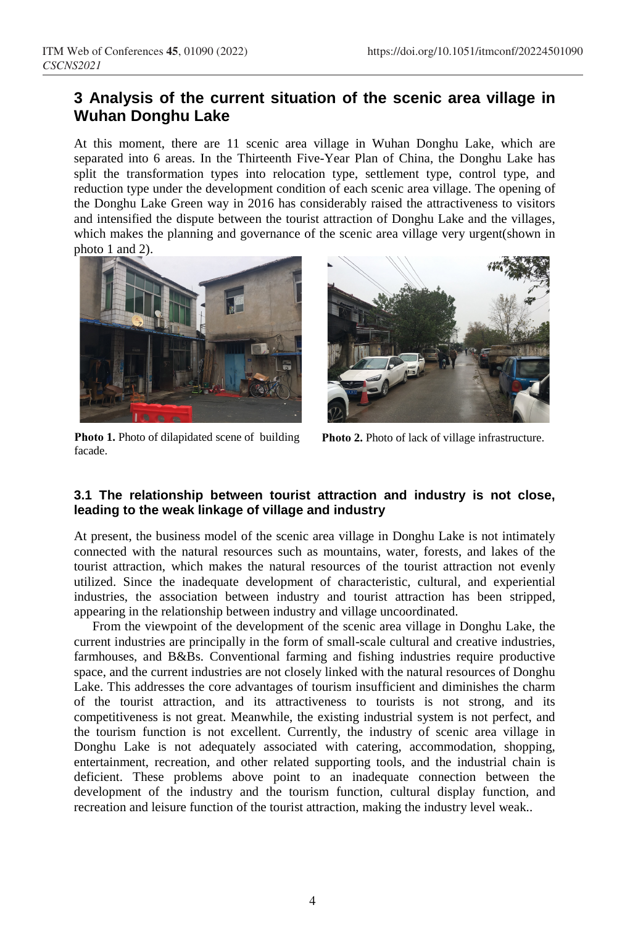### **3 Analysis of the current situation of the scenic area village in Wuhan Donghu Lake**

At this moment, there are 11 scenic area village in Wuhan Donghu Lake, which are separated into 6 areas. In the Thirteenth Five-Year Plan of China, the Donghu Lake has split the transformation types into relocation type, settlement type, control type, and reduction type under the development condition of each scenic area village. The opening of the Donghu Lake Green way in 2016 has considerably raised the attractiveness to visitors and intensified the dispute between the tourist attraction of Donghu Lake and the villages, which makes the planning and governance of the scenic area village very urgent(shown in photo 1 and 2).



**Photo 1.** Photo of dilapidated scene of building facade.



**Photo 2.** Photo of lack of village infrastructure.

#### **3.1 The relationship between tourist attraction and industry is not close, leading to the weak linkage of village and industry**

At present, the business model of the scenic area village in Donghu Lake is not intimately connected with the natural resources such as mountains, water, forests, and lakes of the tourist attraction, which makes the natural resources of the tourist attraction not evenly utilized. Since the inadequate development of characteristic, cultural, and experiential industries, the association between industry and tourist attraction has been stripped, appearing in the relationship between industry and village uncoordinated.

From the viewpoint of the development of the scenic area village in Donghu Lake, the current industries are principally in the form of small-scale cultural and creative industries, farmhouses, and B&Bs. Conventional farming and fishing industries require productive space, and the current industries are not closely linked with the natural resources of Donghu Lake. This addresses the core advantages of tourism insufficient and diminishes the charm of the tourist attraction, and its attractiveness to tourists is not strong, and its competitiveness is not great. Meanwhile, the existing industrial system is not perfect, and the tourism function is not excellent. Currently, the industry of scenic area village in Donghu Lake is not adequately associated with catering, accommodation, shopping, entertainment, recreation, and other related supporting tools, and the industrial chain is deficient. These problems above point to an inadequate connection between the development of the industry and the tourism function, cultural display function, and recreation and leisure function of the tourist attraction, making the industry level weak..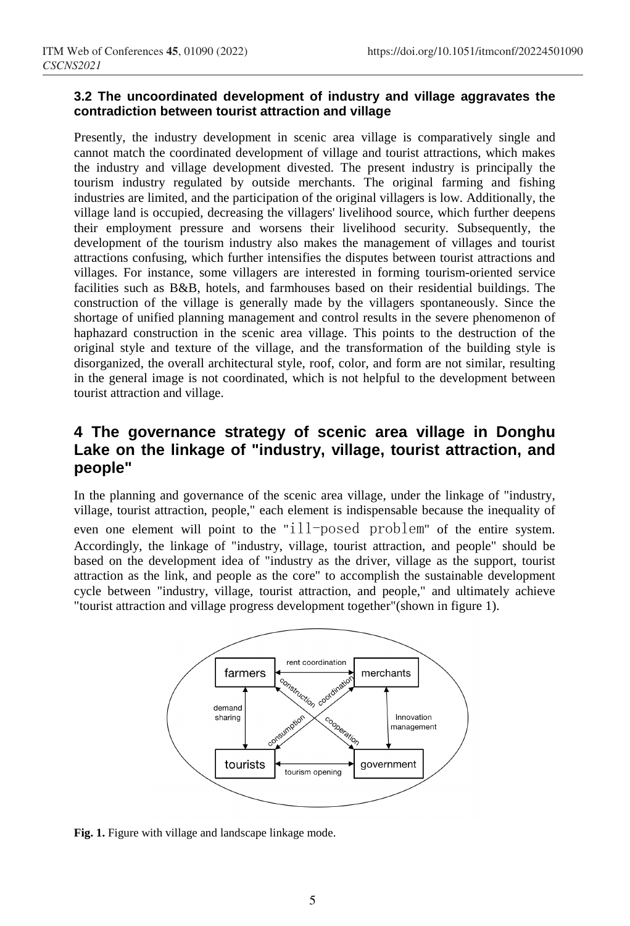#### **3.2 The uncoordinated development of industry and village aggravates the contradiction between tourist attraction and village**

Presently, the industry development in scenic area village is comparatively single and cannot match the coordinated development of village and tourist attractions, which makes the industry and village development divested. The present industry is principally the tourism industry regulated by outside merchants. The original farming and fishing industries are limited, and the participation of the original villagers is low. Additionally, the village land is occupied, decreasing the villagers' livelihood source, which further deepens their employment pressure and worsens their livelihood security. Subsequently, the development of the tourism industry also makes the management of villages and tourist attractions confusing, which further intensifies the disputes between tourist attractions and villages. For instance, some villagers are interested in forming tourism-oriented service facilities such as B&B, hotels, and farmhouses based on their residential buildings. The construction of the village is generally made by the villagers spontaneously. Since the shortage of unified planning management and control results in the severe phenomenon of haphazard construction in the scenic area village. This points to the destruction of the original style and texture of the village, and the transformation of the building style is disorganized, the overall architectural style, roof, color, and form are not similar, resulting in the general image is not coordinated, which is not helpful to the development between tourist attraction and village.

### **4 The governance strategy of scenic area village in Donghu Lake on the linkage of "industry, village, tourist attraction, and people"**

In the planning and governance of the scenic area village, under the linkage of "industry, village, tourist attraction, people," each element is indispensable because the inequality of even one element will point to the "ill-posed problem" of the entire system. Accordingly, the linkage of "industry, village, tourist attraction, and people" should be based on the development idea of "industry as the driver, village as the support, tourist attraction as the link, and people as the core" to accomplish the sustainable development cycle between "industry, village, tourist attraction, and people," and ultimately achieve "tourist attraction and village progress development together"(shown in figure 1).



Fig. 1. Figure with village and landscape linkage mode.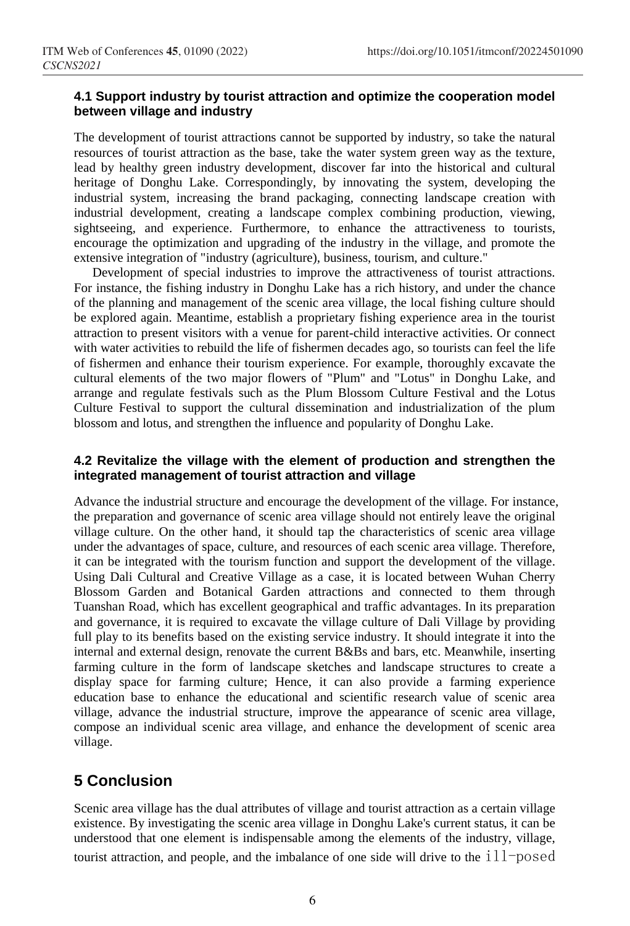#### **4.1 Support industry by tourist attraction and optimize the cooperation model between village and industry**

The development of tourist attractions cannot be supported by industry, so take the natural resources of tourist attraction as the base, take the water system green way as the texture, lead by healthy green industry development, discover far into the historical and cultural heritage of Donghu Lake. Correspondingly, by innovating the system, developing the industrial system, increasing the brand packaging, connecting landscape creation with industrial development, creating a landscape complex combining production, viewing, sightseeing, and experience. Furthermore, to enhance the attractiveness to tourists, encourage the optimization and upgrading of the industry in the village, and promote the extensive integration of "industry (agriculture), business, tourism, and culture."

Development of special industries to improve the attractiveness of tourist attractions. For instance, the fishing industry in Donghu Lake has a rich history, and under the chance of the planning and management of the scenic area village, the local fishing culture should be explored again. Meantime, establish a proprietary fishing experience area in the tourist attraction to present visitors with a venue for parent-child interactive activities. Or connect with water activities to rebuild the life of fishermen decades ago, so tourists can feel the life of fishermen and enhance their tourism experience. For example, thoroughly excavate the cultural elements of the two major flowers of "Plum" and "Lotus" in Donghu Lake, and arrange and regulate festivals such as the Plum Blossom Culture Festival and the Lotus Culture Festival to support the cultural dissemination and industrialization of the plum blossom and lotus, and strengthen the influence and popularity of Donghu Lake.

#### **4.2 Revitalize the village with the element of production and strengthen the integrated management of tourist attraction and village**

Advance the industrial structure and encourage the development of the village. For instance, the preparation and governance of scenic area village should not entirely leave the original village culture. On the other hand, it should tap the characteristics of scenic area village under the advantages of space, culture, and resources of each scenic area village. Therefore, it can be integrated with the tourism function and support the development of the village. Using Dali Cultural and Creative Village as a case, it is located between Wuhan Cherry Blossom Garden and Botanical Garden attractions and connected to them through Tuanshan Road, which has excellent geographical and traffic advantages. In its preparation and governance, it is required to excavate the village culture of Dali Village by providing full play to its benefits based on the existing service industry. It should integrate it into the internal and external design, renovate the current B&Bs and bars, etc. Meanwhile, inserting farming culture in the form of landscape sketches and landscape structures to create a display space for farming culture; Hence, it can also provide a farming experience education base to enhance the educational and scientific research value of scenic area village, advance the industrial structure, improve the appearance of scenic area village, compose an individual scenic area village, and enhance the development of scenic area village.

## **5 Conclusion**

Scenic area village has the dual attributes of village and tourist attraction as a certain village existence. By investigating the scenic area village in Donghu Lake's current status, it can be understood that one element is indispensable among the elements of the industry, village, tourist attraction, and people, and the imbalance of one side will drive to the  $111$ -posed